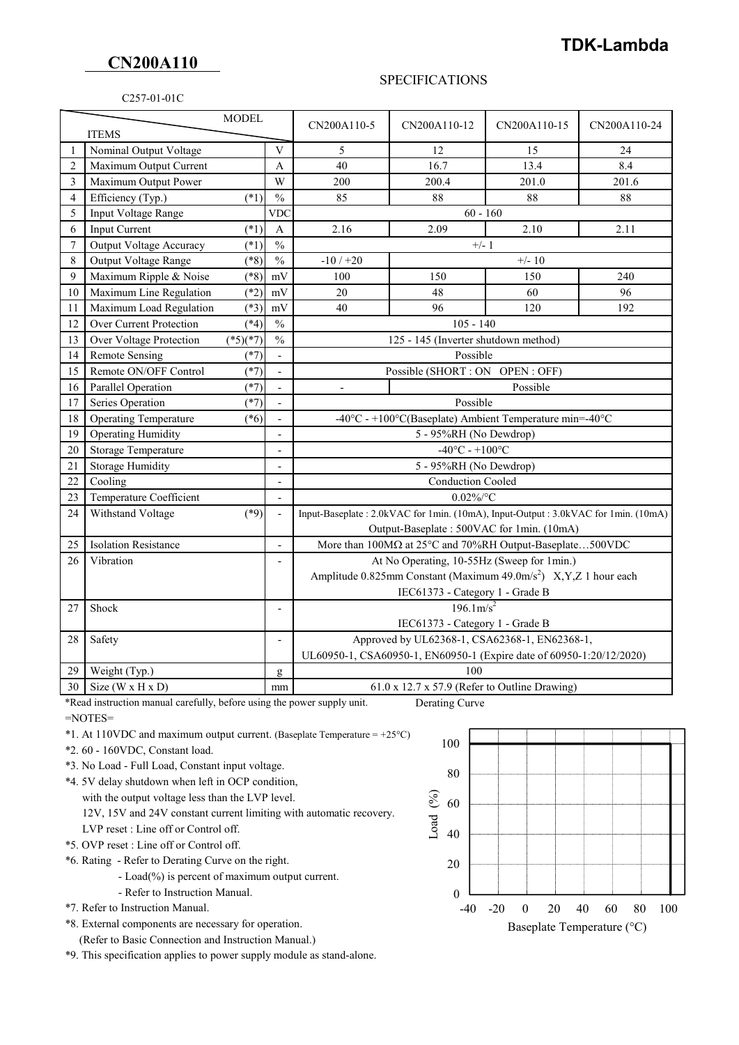## **CN200A110**

C257-01-01C

## SPECIFICATIONS

|                                |                                                                                                                                                                                                                                          |                          | CN200A110-5                                                                       | CN200A110-12         | CN200A110-15              | CN200A110-24                                                                                                                                                                                                             |  |
|--------------------------------|------------------------------------------------------------------------------------------------------------------------------------------------------------------------------------------------------------------------------------------|--------------------------|-----------------------------------------------------------------------------------|----------------------|---------------------------|--------------------------------------------------------------------------------------------------------------------------------------------------------------------------------------------------------------------------|--|
| $\mathbf{1}$                   |                                                                                                                                                                                                                                          |                          |                                                                                   |                      |                           |                                                                                                                                                                                                                          |  |
|                                |                                                                                                                                                                                                                                          |                          |                                                                                   |                      |                           | 24                                                                                                                                                                                                                       |  |
|                                |                                                                                                                                                                                                                                          |                          |                                                                                   |                      |                           | 8.4                                                                                                                                                                                                                      |  |
|                                |                                                                                                                                                                                                                                          |                          |                                                                                   |                      |                           | 201.6                                                                                                                                                                                                                    |  |
|                                |                                                                                                                                                                                                                                          |                          |                                                                                   |                      |                           | 88                                                                                                                                                                                                                       |  |
|                                |                                                                                                                                                                                                                                          | <b>VDC</b>               | $60 - 160$                                                                        |                      |                           |                                                                                                                                                                                                                          |  |
|                                | $(*1)$                                                                                                                                                                                                                                   | A                        | 2.16                                                                              | 2.09                 | 2.10                      | 2.11                                                                                                                                                                                                                     |  |
|                                | $(*1)$                                                                                                                                                                                                                                   |                          | $+/-1$                                                                            |                      |                           |                                                                                                                                                                                                                          |  |
| Output Voltage Range           | $(*8)$                                                                                                                                                                                                                                   |                          | $-10/+20$                                                                         | $+/- 10$             |                           |                                                                                                                                                                                                                          |  |
| Maximum Ripple & Noise         | $(*8)$                                                                                                                                                                                                                                   | mV                       | 100                                                                               | 150                  | 150                       | 240                                                                                                                                                                                                                      |  |
| Maximum Line Regulation        | $(*2)$                                                                                                                                                                                                                                   | mV                       | 20                                                                                | 48                   | 60                        | 96                                                                                                                                                                                                                       |  |
| Maximum Load Regulation        | $(*3)$                                                                                                                                                                                                                                   | mV                       | 40                                                                                | 96                   | 120                       | 192                                                                                                                                                                                                                      |  |
| Over Current Protection        | $(*4)$                                                                                                                                                                                                                                   | $\frac{0}{0}$            | $105 - 140$                                                                       |                      |                           |                                                                                                                                                                                                                          |  |
| Over Voltage Protection        | $(*5)(*7)$                                                                                                                                                                                                                               | $\frac{0}{0}$            | 125 - 145 (Inverter shutdown method)                                              |                      |                           |                                                                                                                                                                                                                          |  |
| <b>Remote Sensing</b>          | $(*7)$                                                                                                                                                                                                                                   | $\overline{a}$           | Possible                                                                          |                      |                           |                                                                                                                                                                                                                          |  |
| Remote ON/OFF Control          | $(*7)$                                                                                                                                                                                                                                   | $\blacksquare$           | Possible (SHORT : ON OPEN : OFF)                                                  |                      |                           |                                                                                                                                                                                                                          |  |
| Parallel Operation             | $(*7)$                                                                                                                                                                                                                                   | $\overline{\phantom{a}}$ | $\overline{\phantom{a}}$                                                          | Possible             |                           |                                                                                                                                                                                                                          |  |
| Series Operation               | $(*7)$                                                                                                                                                                                                                                   | $\Box$                   | Possible                                                                          |                      |                           |                                                                                                                                                                                                                          |  |
| <b>Operating Temperature</b>   | $(*6)$                                                                                                                                                                                                                                   | $\overline{a}$           | -40°C - +100°C(Baseplate) Ambient Temperature min=-40°C                           |                      |                           |                                                                                                                                                                                                                          |  |
| <b>Operating Humidity</b>      |                                                                                                                                                                                                                                          | $\overline{\phantom{0}}$ | 5 - 95%RH (No Dewdrop)                                                            |                      |                           |                                                                                                                                                                                                                          |  |
| <b>Storage Temperature</b>     |                                                                                                                                                                                                                                          |                          | $-40^{\circ}$ C - $+100^{\circ}$ C                                                |                      |                           |                                                                                                                                                                                                                          |  |
|                                |                                                                                                                                                                                                                                          |                          | 5 - 95%RH (No Dewdrop)                                                            |                      |                           |                                                                                                                                                                                                                          |  |
| Cooling                        |                                                                                                                                                                                                                                          | $\overline{a}$           | <b>Conduction Cooled</b>                                                          |                      |                           |                                                                                                                                                                                                                          |  |
| Temperature Coefficient        |                                                                                                                                                                                                                                          |                          | $0.02\%$ /°C                                                                      |                      |                           |                                                                                                                                                                                                                          |  |
| Withstand Voltage              | $(*9)$                                                                                                                                                                                                                                   | $\overline{a}$           | Input-Baseplate: 2.0kVAC for 1min. (10mA), Input-Output: 3.0kVAC for 1min. (10mA) |                      |                           |                                                                                                                                                                                                                          |  |
|                                |                                                                                                                                                                                                                                          |                          | Output-Baseplate: 500VAC for 1min. (10mA)                                         |                      |                           |                                                                                                                                                                                                                          |  |
| <b>Isolation Resistance</b>    |                                                                                                                                                                                                                                          | $\overline{a}$           | More than 100MΩ at 25°C and 70%RH Output-Baseplate500VDC                          |                      |                           |                                                                                                                                                                                                                          |  |
| Vibration                      |                                                                                                                                                                                                                                          |                          | At No Operating, 10-55Hz (Sweep for 1min.)                                        |                      |                           |                                                                                                                                                                                                                          |  |
|                                |                                                                                                                                                                                                                                          |                          | Amplitude 0.825mm Constant (Maximum $49.0 \text{m/s}^2$ ) X, Y, Z 1 hour each     |                      |                           |                                                                                                                                                                                                                          |  |
|                                |                                                                                                                                                                                                                                          |                          |                                                                                   |                      |                           |                                                                                                                                                                                                                          |  |
|                                |                                                                                                                                                                                                                                          | $\overline{\phantom{0}}$ | $196.1 \text{m/s}^2$                                                              |                      |                           |                                                                                                                                                                                                                          |  |
|                                |                                                                                                                                                                                                                                          |                          |                                                                                   |                      |                           |                                                                                                                                                                                                                          |  |
|                                |                                                                                                                                                                                                                                          | $\overline{a}$           |                                                                                   |                      |                           |                                                                                                                                                                                                                          |  |
|                                |                                                                                                                                                                                                                                          |                          |                                                                                   |                      |                           |                                                                                                                                                                                                                          |  |
|                                |                                                                                                                                                                                                                                          |                          | 100                                                                               |                      |                           |                                                                                                                                                                                                                          |  |
| Size ( $W \times H \times D$ ) |                                                                                                                                                                                                                                          | mm                       | $61.0 \times 12.7 \times 57.9$ (Refer to Outline Drawing)                         |                      |                           |                                                                                                                                                                                                                          |  |
|                                | <b>ITEMS</b><br>Nominal Output Voltage<br>Maximum Output Current<br>Maximum Output Power<br>Efficiency (Typ.)<br>Input Voltage Range<br>Input Current<br>Output Voltage Accuracy<br>Storage Humidity<br>Shock<br>Safety<br>Weight (Typ.) | <b>MODEL</b><br>$(*1)$   | $\mathbf{V}$<br>A<br>W<br>$\frac{0}{0}$<br>$\frac{0}{0}$<br>$\frac{0}{0}$<br>g    | 5<br>40<br>200<br>85 | 12<br>16.7<br>200.4<br>88 | 15<br>13.4<br>201.0<br>88<br>IEC61373 - Category 1 - Grade B<br>IEC61373 - Category 1 - Grade B<br>Approved by UL62368-1, CSA62368-1, EN62368-1,<br>UL60950-1, CSA60950-1, EN60950-1 (Expire date of 60950-1:20/12/2020) |  |

\*Read instruction manual carefully, before using the power supply unit. Derating Curve

- $=$ NOTES $=$
- \*1. At 110VDC and maximum output current. (Baseplate Temperature =  $+25^{\circ}$ C)
- \*2. 60 160VDC, Constant load.
- \*3. No Load Full Load, Constant input voltage.
- \*4. 5V delay shutdown when left in OCP condition,
	- with the output voltage less than the LVP level.
	- 12V, 15V and 24V constant current limiting with automatic recovery.
	- LVP reset : Line off or Control off.
- \*5. OVP reset : Line off or Control off.
- \*6. Rating Refer to Derating Curve on the right.
	- Load(%) is percent of maximum output current.
	- Refer to Instruction Manual.
- \*7. Refer to Instruction Manual.
- \*8. External components are necessary for operation.
	- (Refer to Basic Connection and Instruction Manual.)

\*9. This specification applies to power supply module as stand-alone.